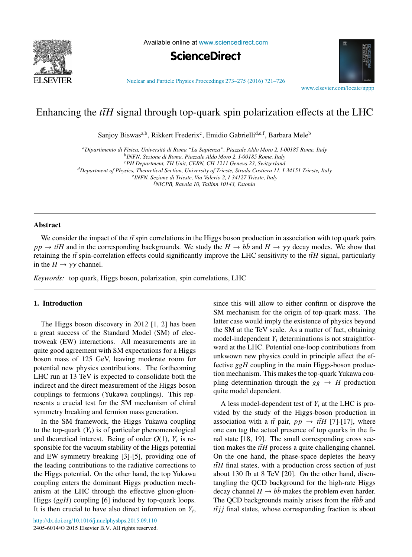

Available online at [www.sciencedirect.com](http://www.sciencedirect.com)



[Nuclear and Particle Physics Proceedings 273–275 \(2016\) 721–726](http://dx.doi.org/10.1016/j.nuclphysbps.2015.09.110)

[www.elsevier.com/locate/nppp](http://www.elsevier.com/locate/nppp)

# Enhancing the  $t\bar{t}H$  signal through top-quark spin polarization effects at the LHC

Sanjoy Biswas<sup>a,b</sup>, Rikkert Frederix<sup>c</sup>, Emidio Gabrielli<sup>d,e,f</sup>, Barbara Mele<sup>b</sup>

*aDipartimento di Fisica, Universit`a di Roma "La Sapienza", Piazzale Aldo Moro 2, I-00185 Rome, Italy bINFN, Sezione di Roma, Piazzale Aldo Moro 2, I-00185 Rome, Italy cPH Department, TH Unit, CERN, CH-1211 Geneva 23, Switzerland dDepartment of Physics, Theoretical Section, University of Trieste, Strada Costiera 11, I-34151 Trieste, Italy eINFN, Sezione di Trieste, Via Valerio 2, I-34127 Trieste, Italy f NICPB, Ravala 10, Tallinn 10143, Estonia*

## **Abstract**

We consider the impact of the  $t\bar{t}$  spin correlations in the Higgs boson production in association with top quark pairs  $pp \rightarrow t\bar{t}H$  and in the corresponding backgrounds. We study the  $H \rightarrow b\bar{b}$  and  $H \rightarrow \gamma\gamma$  decay modes. We show that retaining the  $t\bar{t}$  spin-correlation effects could significantly improve the LHC sensitivity to the  $t\bar{t}H$  signal, particularly in the  $H \rightarrow \gamma \gamma$  channel.

*Keywords:* top quark, Higgs boson, polarization, spin correlations, LHC

## 1. Introduction

The Higgs boson discovery in 2012 [1, 2] has been a great success of the Standard Model (SM) of electroweak (EW) interactions. All measurements are in quite good agreement with SM expectations for a Higgs boson mass of 125 GeV, leaving moderate room for potential new physics contributions. The forthcoming LHC run at 13 TeV is expected to consolidate both the indirect and the direct measurement of the Higgs boson couplings to fermions (Yukawa couplings). This represents a crucial test for the SM mechanism of chiral symmetry breaking and fermion mass generation.

In the SM framework, the Higgs Yukawa coupling to the top-quark  $(Y_t)$  is of particular phenomenological and theoretical interest. Being of order  $O(1)$ ,  $Y_t$  is responsible for the vacuum stability of the Higgs potential and EW symmetry breaking [3]-[5], providing one of the leading contributions to the radiative corrections to the Higgs potential. On the other hand, the top Yukawa coupling enters the dominant Higgs production mechanism at the LHC through the effective gluon-gluon-Higgs (*ggH*) coupling [6] induced by top-quark loops. It is then crucial to have also direct information on  $Y_t$ ,

since this will allow to either confirm or disprove the SM mechanism for the origin of top-quark mass. The latter case would imply the existence of physics beyond the SM at the TeV scale. As a matter of fact, obtaining model-independent  $Y_t$  determinations is not straightforward at the LHC. Potential one-loop contributions from unkwown new physics could in principle affect the effective *ggH* coupling in the main Higgs-boson production mechanism. This makes the top-quark Yukawa coupling determination through the  $gg \rightarrow H$  production quite model dependent.

A less model-dependent test of  $Y_t$  at the LHC is provided by the study of the Higgs-boson production in association with a  $t\bar{t}$  pair,  $pp \rightarrow t\bar{t}H$  [7]-[17], where one can tag the actual presence of top quarks in the final state [18, 19]. The small corresponding cross section makes the  $t\bar{t}H$  process a quite challenging channel. On the one hand, the phase-space depletes the heavy  $t\bar{t}H$  final states, with a production cross section of just about 130 fb at 8 TeV [20]. On the other hand, disentangling the QCD background for the high-rate Higgs decay channel  $H \rightarrow b\bar{b}$  makes the problem even harder. The QCD backgrounds mainly arises from the  $t\bar{t}b\bar{b}$  and  $t\bar{t}$ *j* i final states, whose corresponding fraction is about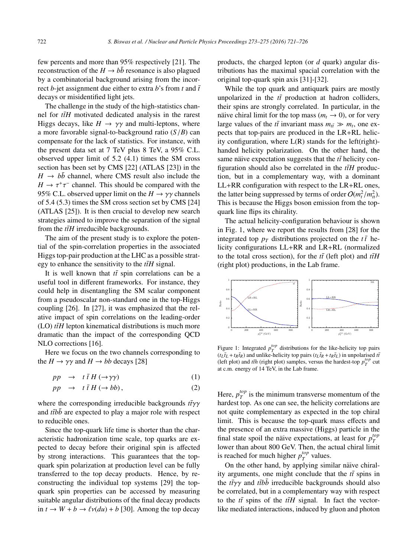few percents and more than 95% respectively [21]. The reconstruction of the  $H \rightarrow b\bar{b}$  resonance is also plagued by a combinatorial background arising from the incorrect *b*-jet assignment due either to extra *b*'s from *t* and  $\bar{t}$ decays or misidentified light jets.

The challenge in the study of the high-statistics channel for  $t\bar{t}H$  motivated dedicated analysis in the rarest Higgs decays, like  $H \rightarrow \gamma \gamma$  and multi-leptons, where a more favorable signal-to-background ratio (*S*/*B*) can compensate for the lack of statistics. For instance, with the present data set at 7 TeV plus 8 TeV, a 95% C.L. observed upper limit of 5.2 (4.1) times the SM cross section has been set by CMS [22] (ATLAS [23]) in the  $H \rightarrow b\bar{b}$  channel, where CMS result also include the  $H \to \tau^+\tau^-$  channel. This should be compared with the 95% C.L. observed upper limit on the  $H \to \gamma \gamma$  channels of 5.4 (5.3) times the SM cross section set by CMS [24] (ATLAS [25]). It is then crucial to develop new search strategies aimed to improve the separation of the signal from the  $t\bar{t}H$  irreducible backgrounds.

The aim of the present study is to explore the potential of the spin-correlation properties in the associated Higgs top-pair production at the LHC as a possible strategy to enhance the sensitivity to the  $t\bar{t}H$  signal.

It is well known that  $t\bar{t}$  spin correlations can be a useful tool in different frameworks. For instance, they could help in disentangling the SM scalar component from a pseudoscalar non-standard one in the top-Higgs coupling [26]. In [27], it was emphasized that the relative impact of spin correlations on the leading-order  $(LO)$  *ttH* lepton kinematical distributions is much more dramatic than the impact of the corresponding QCD NLO corrections [16].

Here we focus on the two channels corresponding to the  $H \to \gamma \gamma$  and  $H \to bb$  decays [28]

$$
pp \to t \bar{t} H (\to \gamma \gamma) \tag{1}
$$

$$
pp \to t \bar{t} H (\to bb), \tag{2}
$$

where the corresponding irreducible backgrounds  $t\bar{t}γγ$ and  $t\bar{t}b\bar{b}$  are expected to play a major role with respect to reducible ones.

Since the top-quark life time is shorter than the characteristic hadronization time scale, top quarks are expected to decay before their original spin is affected by strong interactions. This guarantees that the topquark spin polarization at production level can be fully transferred to the top decay products. Hence, by reconstructing the individual top systems [29] the topquark spin properties can be accessed by measuring suitable angular distributions of the final decay products in  $t \to W + b \to \ell \nu (du) + b$  [30]. Among the top decay products, the charged lepton (or *d* quark) angular distributions has the maximal spacial correlation with the original top-quark spin axis [31]-[32].

While the top quark and antiquark pairs are mostly unpolarized in the  $t\bar{t}$  production at hadron colliders, their spins are strongly correlated. In particular, in the naive chiral limit for the top mass ( $m_t \to 0$ ), or for very large values of the  $t\bar{t}$  invariant mass  $m_{t\bar{t}} \gg m_t$ , one expects that top-pairs are produced in the LR+RL helicity configuration, where  $L(R)$  stands for the left(right)handed helicity polarization. On the other hand, the same näive expectation suggests that the  $t\bar{t}$  helicity configuration should also be correlated in the  $t\bar{t}H$  production, but in a complementary way, with a dominant LL+RR configuration with respect to the LR+RL ones, the latter being suppressed by terms of order  $O(m_t^2/m_{tt}^2)$ . This is because the Higgs boson emission from the topquark line flips its chirality.

The actual helicity-configuration behaviour is shown in Fig. 1, where we report the results from [28] for the integrated top  $p_T$  distributions projected on the  $t\bar{t}$  helicity configurations LL+RR and LR+RL (normalized to the total cross section), for the  $t\bar{t}$  (left plot) and  $t\bar{t}H$ (right plot) productions, in the Lab frame.



Figure 1: Integrated  $p_T^{top}$  distributions for the like-helicity top pairs  $(t_L \bar{t}_L + t_R \bar{t}_R)$  and unlike-helicity top pairs  $(t_L \bar{t}_R + t_R \bar{t}_L)$  in unpolarised  $t\bar{t}$ (left plot) and *tth* (right plot) samples, versus the hardest-top  $p_T^{top}$  cut at c.m. energy of 14 TeV, in the Lab frame.

Here,  $p_T^{top}$  is the minimum transverse momentum of the hardest top. As one can see, the helicity correlations are not quite complementary as expected in the top chiral limit. This is because the top-quark mass effects and the presence of an extra massive (Higgs) particle in the final state spoil the naive expectations, at least for  $p_T^{top}$ lower than about 800 GeV. Then, the actual chiral limit is reached for much higher  $p_T^{top}$  values.

On the other hand, by applying similar näive chirality arguments, one might conclude that the  $t\bar{t}$  spins in the  $t\bar{t}\gamma\gamma$  and  $t\bar{t}b\bar{b}$  irreducible backgrounds should also be correlated, but in a complementary way with respect to the  $t\bar{t}$  spins of the  $t\bar{t}H$  signal. In fact the vectorlike mediated interactions, induced by gluon and photon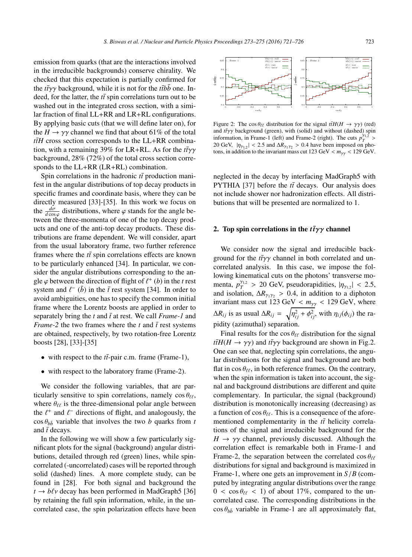emission from quarks (that are the interactions involved in the irreducible backgrounds) conserve chirality. We checked that this expectation is partially confirmed for the *tt*γγ background, while it is not for the *ttbb* one. Indeed, for the latter, the  $t\bar{t}$  spin correlations turn out to be washed out in the integrated cross section, with a similar fraction of final LL+RR and LR+RL configurations. By applying basic cuts (that we will define later on), for the  $H \rightarrow \gamma \gamma$  channel we find that about 61% of the total  $t\bar{t}H$  cross section corresponds to the LL+RR combination, with a remaining 39% for LR+RL. As for the *tt*γγ background, 28% (72%) of the total cross section corresponds to the LL+RR (LR+RL) combination.

Spin correlations in the hadronic  $t\bar{t}$  production manifest in the angular distributions of top decay products in specific frames and coordinate basis, where they can be directly measured [33]-[35]. In this work we focus on the  $\frac{d\sigma}{d\cos\varphi}$  distributions, where  $\varphi$  stands for the angle between the three-momenta of one of the top decay products and one of the anti-top decay products. These distributions are frame dependent. We will consider, apart from the usual laboratory frame, two further reference frames where the  $t\bar{t}$  spin correlations effects are known to be particularly enhanced [34]. In particular, we consider the angular distributions corresponding to the angle  $\varphi$  between the direction of flight of  $\ell^+$  (*b*) in the *t* rest system and  $\ell^{-}$  ( $\bar{b}$ ) in the  $\bar{t}$  rest system [34]. In order to avoid ambiguities, one has to specify the common initial frame where the Lorentz boosts are applied in order to separately bring the  $t$  and  $\bar{t}$  at rest. We call *Frame-1* and *Frame-2* the two frames where the  $t$  and  $\bar{t}$  rest systems are obtained, respectively, by two rotation-free Lorentz boosts [28], [33]-[35]

- with respect to the  $t\bar{t}$ -pair c.m. frame (Frame-1),
- with respect to the laboratory frame (Frame-2).

We consider the following variables, that are particularly sensitive to spin correlations, namely  $\cos \theta_{\ell\ell}$ , where  $\theta_{\ell\ell}$  is the three-dimensional polar angle between the  $\ell^+$  and  $\ell^-$  directions of flight, and analogously, the  $\cos \theta_{b\bar{b}}$  variable that involves the two *b* quarks from *t* and  $\bar{t}$  decays.

In the following we will show a few particularly significant plots for the signal (background) angular distributions, detailed through red (green) lines, while spincorrelated (-uncorrelated) cases will be reported through solid (dashed) lines. A more complete study, can be found in [28]. For both signal and background the  $t \rightarrow b\ell\nu$  decay has been performed in MadGraph5 [36] by retaining the full spin information, while, in the uncorrelated case, the spin polarization effects have been



Figure 2: The cos  $\theta_{\ell\ell}$  distribution for the signal  $t\bar{t}H(H \to \gamma\gamma)$  (red) and *tτ*<sub>γγ</sub> background (green), with (solid) and without (dashed) spin information, in Frame-1 (left) and Frame-2 (right). The cuts  $p_T^{\gamma_{1,2}}$ 20 GeV,  $|\eta_{\gamma_{1,2}}|$  < 2.5 and  $\Delta R_{\gamma_1\gamma_2}$  > 0.4 have been imposed on photons, in addition to the invariant mass cut  $123 \text{ GeV} < m_{\gamma\gamma} < 129 \text{ GeV}$ .

neglected in the decay by interfacing MadGraph5 with PYTHIA [37] before the  $t\bar{t}$  decays. Our analysis does not include shower nor hadronization effects. All distributions that will be presented are normalized to 1.

# 2. Top spin correlations in the  $t\bar{t}\gamma\gamma$  channel

We consider now the signal and irreducible background for the *tt*γγ channel in both correlated and uncorrelated analysis. In this case, we impose the following kinematical cuts on the photons' transverse momenta,  $p_T^{\gamma_{1,2}} > 20 \text{ GeV}$ , pseudorapidities,  $|\eta_{\gamma_{1,2}}| < 2.5$ , and isolation,  $\Delta R_{\gamma_1 \gamma_2} > 0.4$ , in addition to a diphoton invariant mass cut 123 GeV  $< m_{\gamma\gamma} < 129$  GeV, where  $\Delta R_{ij}$  is as usual  $\Delta R_{ij} = \sqrt{\eta_{ij}^2 + \phi_{ij}^2}$ , with  $\eta_{ij}(\phi_{ij})$  the rapidity (azimuthal) separation.

Final results for the cos  $\theta_{\ell\ell}$  distribution for the signal *ttH*(*H*  $\rightarrow \gamma \gamma$ ) and *tt* $\gamma \gamma$  background are shown in Fig.2. One can see that, neglecting spin correlations, the angular distributions for the signal and background are both flat in  $\cos \theta_{\ell\ell}$ , in both reference frames. On the contrary, when the spin information is taken into account, the signal and background distributions are different and quite complementary. In particular, the signal (background) distribution is monotonically increasing (decreasing) as a function of  $\cos \theta_{\ell\ell}$ . This is a consequence of the aforementioned complementarity in the  $t\bar{t}$  helicity correlations of the signal and irreducible background for the  $H \rightarrow \gamma \gamma$  channel, previously discussed. Although the correlation effect is remarkable both in Frame-1 and Frame-2, the separation between the correlated  $\cos \theta_{\ell\ell}$ distributions for signal and background is maximized in Frame-1, where one gets an improvement in *S*/*B* (computed by integrating angular distributions over the range  $0 < \cos \theta_{\ell\ell} < 1$ ) of about 17%, compared to the uncorrelated case. The corresponding distributions in the  $\cos \theta_{b\bar{b}}$  variable in Frame-1 are all approximately flat,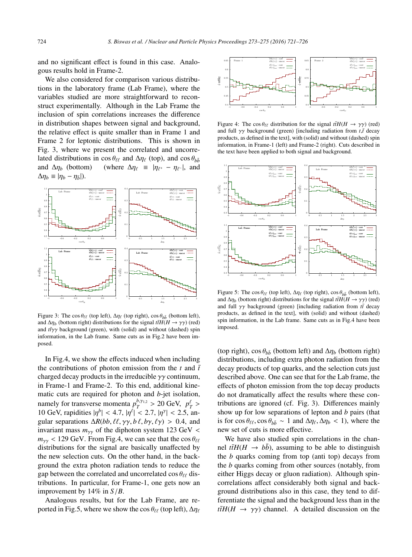and no significant effect is found in this case. Analogous results hold in Frame-2.

We also considered for comparison various distributions in the laboratory frame (Lab Frame), where the variables studied are more straightforward to reconstruct experimentally. Although in the Lab Frame the inclusion of spin correlations increases the difference in distribution shapes between signal and background, the relative effect is quite smaller than in Frame 1 and Frame 2 for leptonic distributions. This is shown in Fig. 3, where we present the correlated and uncorrelated distributions in  $\cos \theta_{\ell\ell}$  and  $\Delta \eta_{\ell}$  (top), and  $\cos \theta_{b\bar{b}}$ and  $\Delta \eta_b$  (bottom) (where  $\Delta \eta_\ell \equiv |\eta_{\ell^+} - \eta_{\ell^-}|$ , and  $\Delta \eta_b \equiv |\eta_b - \eta_{\bar{b}}|$ ).



Figure 3: The cos  $\theta_{\ell\ell}$  (top left),  $\Delta \eta_{\ell}$  (top right), cos  $\theta_{b\bar{b}}$  (bottom left), and  $\Delta \eta_b$  (bottom right) distributions for the signal  $t\bar{t}H(H \to \gamma\gamma)$  (red) and *t*r<sub>γγ</sub> background (green), with (solid) and without (dashed) spin information, in the Lab frame. Same cuts as in Fig.2 have been imposed.

In Fig.4, we show the effects induced when including the contributions of photon emission from the  $t$  and  $\bar{t}$ charged decay products in the irreducible  $\gamma\gamma$  continuum, in Frame-1 and Frame-2. To this end, additional kinematic cuts are required for photon and *b*-jet isolation, namely for transverse momenta  $p_T^{b,\gamma_{1,2}} > 20$  GeV,  $p_T^{\ell} >$ 10 GeV, rapidities  $|\eta^b| < 4.7$ ,  $|\eta^{\ell}| < 2.7$ ,  $|\eta^{\gamma}| < 2.5$ , angular separations  $\Delta R(bb, \ell\ell, \gamma\gamma, b\ell, b\gamma, \ell\gamma) > 0.4$ , and invariant mass  $m_{\gamma\gamma}$  of the diphoton system 123 GeV <  $m_{\gamma\gamma}$  < 129 GeV. From Fig.4, we can see that the cos  $\theta_{\ell\ell}$ distributions for the signal are basically unaffected by the new selection cuts. On the other hand, in the background the extra photon radiation tends to reduce the gap between the correlated and uncorrelated  $\cos \theta_{\ell\ell}$  distributions. In particular, for Frame-1, one gets now an improvement by 14% in *S*/*B*.

Analogous results, but for the Lab Frame, are reported in Fig.5, where we show the cos  $\theta_{\ell\ell}$  (top left),  $\Delta \eta_{\ell}$ 



Figure 4: The cos  $\theta_{\ell\ell}$  distribution for the signal  $t\bar{t}H(H \to \gamma\gamma)$  (red) and full  $\gamma\gamma$  background (green) [including radiation from  $t,\bar{t}$  decay products, as defined in the text], with (solid) and without (dashed) spin information, in Frame-1 (left) and Frame-2 (right). Cuts described in the text have been applied to both signal and background.



Figure 5: The cos  $\theta_{\ell\ell}$  (top left),  $\Delta \eta_{\ell}$  (top right), cos  $\theta_{b\bar{b}}$  (bottom left), and  $\Delta \eta_b$  (bottom right) distributions for the signal  $t\bar{t}H(H \to \gamma\gamma)$  (red) and full  $\gamma\gamma$  background (green) [including radiation from  $t\bar{t}$  decay products, as defined in the text], with (solid) and without (dashed) spin information, in the Lab frame. Same cuts as in Fig.4 have been imposed.

(top right),  $\cos \theta_{b\bar{b}}$  (bottom left) and  $\Delta \eta_b$  (bottom right) distributions, including extra photon radiation from the decay products of top quarks, and the selection cuts just described above. One can see that for the Lab frame, the effects of photon emission from the top decay products do not dramatically affect the results where these contributions are ignored (cf. Fig. 3). Differences mainly show up for low separations of lepton and *b* pairs (that is for  $\cos \theta_{\ell\ell}$ ,  $\cos \theta_{b\bar{b}} \sim 1$  and  $\Delta \eta_{\ell}, \Delta \eta_{b} < 1$ ), where the new set of cuts is more effective.

We have also studied spin correlations in the channel  $t\bar{t}H(H \rightarrow b\bar{b})$ , assuming to be able to distinguish the *b* quarks coming from top (anti top) decays from the *b* quarks coming from other sources (notably, from either Higgs decay or gluon radiation). Although spincorrelations affect considerably both signal and background distributions also in this case, they tend to differentiate the signal and the background less than in the  $t\bar{t}H(H \rightarrow \gamma\gamma)$  channel. A detailed discussion on the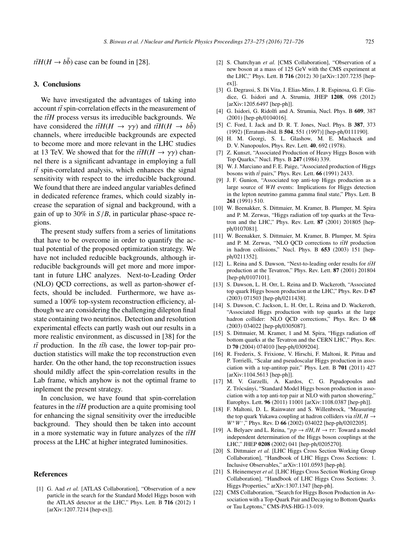$t\bar{t}H(H \rightarrow b\bar{b})$  case can be found in [28].

### 3. Conclusions

We have investigated the advantages of taking into account  $t\bar{t}$  spin-correlation effects in the measurement of the  $t\bar{t}H$  process versus its irreducible backgrounds. We have considered the  $t\bar{t}H(H \rightarrow \gamma\gamma)$  and  $t\bar{t}H(H \rightarrow b\bar{b})$ channels, where irreducible backgrounds are expected to become more and more relevant in the LHC studies at 13 TeV. We showed that for the  $t\bar{t}H(H \to \gamma\gamma)$  channel there is a significant advantage in employing a full  $t\bar{t}$  spin-correlated analysis, which enhances the signal sensitivity with respect to the irreducible background. We found that there are indeed angular variables defined in dedicated reference frames, which could sizably increase the separation of signal and background, with a gain of up to 30% in  $S/B$ , in particular phase-space regions.

The present study suffers from a series of limitations that have to be overcome in order to quantify the actual potential of the proposed optimization strategy. We have not included reducible backgrounds, although irreducible backgrounds will get more and more important in future LHC analyzes. Next-to-Leading Order (NLO) QCD corrections, as well as parton-shower effects, should be included. Furthermore, we have assumed a  $100\%$  top-system reconstruction efficiency, although we are considering the challenging dilepton final state containing two neutrinos. Detection and resolution experimental effects can partly wash out our results in a more realistic environment, as discussed in [38] for the  $t\bar{t}$  production. In the  $t\bar{t}h$  case, the lower top-pair production statistics will make the top reconstruction even harder. On the other hand, the top reconstruction issues should mildly affect the spin-correlation results in the Lab frame, which anyhow is not the optimal frame to inplement the present strategy.

In conclusion, we have found that spin-correlation features in the  $t\bar{t}H$  production are a quite promising tool for enhancing the signal sensitivity over the irreducible background. They should then be taken into account in a more systematic way in future analyzes of the  $t\bar{t}H$ process at the LHC at higher integrated luminosities.

#### References

[1] G. Aad *et al.* [ATLAS Collaboration], "Observation of a new particle in the search for the Standard Model Higgs boson with the ATLAS detector at the LHC," Phys. Lett. B 716 (2012) 1 [arXiv:1207.7214 [hep-ex]].

- [2] S. Chatrchyan *et al.* [CMS Collaboration], "Observation of a new boson at a mass of 125 GeV with the CMS experiment at the LHC," Phys. Lett. B 716 (2012) 30 [arXiv:1207.7235 [hepex]].
- [3] G. Degrassi, S. Di Vita, J. Elias-Miro, J. R. Espinosa, G. F. Giudice, G. Isidori and A. Strumia, JHEP 1208, 098 (2012) [arXiv:1205.6497 [hep-ph]].
- [4] G. Isidori, G. Ridolfi and A. Strumia, Nucl. Phys. B 609, 387 (2001) [hep-ph/0104016].
- [5] C. Ford, I. Jack and D. R. T. Jones, Nucl. Phys. B 387, 373 (1992) [Erratum-ibid. B 504, 551 (1997)] [hep-ph/0111190].
- [6] H. M. Georgi, S. L. Glashow, M. E. Machacek and D. V. Nanopoulos, Phys. Rev. Lett. 40, 692 (1978).
- [7] Z. Kunszt, "Associated Production of Heavy Higgs Boson with Top Quarks," Nucl. Phys. B 247 (1984) 339.
- [8] W. J. Marciano and F. E. Paige, "Associated production of Higgs bosons with  $t\bar{t}$  pairs," Phys. Rev. Lett.  $66$  (1991) 2433.
- [9] J. F. Gunion, "Associated top anti-top Higgs production as a large source of *WH* events: Implications for Higgs detection in the lepton neutrino gamma gamma final state," Phys. Lett. B 261 (1991) 510.
- [10] W. Beenakker, S. Dittmaier, M. Kramer, B. Plumper, M. Spira and P. M. Zerwas, "Higgs radiation off top quarks at the Tevatron and the LHC," Phys. Rev. Lett. 87 (2001) 201805 [hepph/0107081].
- [11] W. Beenakker, S. Dittmaier, M. Kramer, B. Plumper, M. Spira and P. M. Zerwas, "NLO QCD corrections to  $t\bar{t}H$  production in hadron collisions," Nucl. Phys. B 653 (2003) 151 [hepph/0211352].
- [12] L. Reina and S. Dawson, "Next-to-leading order results for  $t\bar{t}H$ production at the Tevatron," Phys. Rev. Lett. 87 (2001) 201804 [hep-ph/0107101].
- [13] S. Dawson, L. H. Orr, L. Reina and D. Wackeroth, "Associated top quark Higgs boson production at the LHC," Phys. Rev. D 67 (2003) 071503 [hep-ph/0211438].
- [14] S. Dawson, C. Jackson, L. H. Orr, L. Reina and D. Wackeroth, "Associated Higgs production with top quarks at the large hadron collider: NLO QCD corrections," Phys. Rev. D 68 (2003) 034022 [hep-ph/0305087].
- [15] S. Dittmaier, M. Kramer, 1 and M. Spira, "Higgs radiation off bottom quarks at the Tevatron and the CERN LHC," Phys. Rev. D 70 (2004) 074010 [hep-ph/0309204].
- [16] R. Frederix, S. Frixione, V. Hirschi, F. Maltoni, R. Pittau and P. Torrielli, "Scalar and pseudoscalar Higgs production in association with a top-antitop pair," Phys. Lett. B 701 (2011) 427 [arXiv:1104.5613 [hep-ph]].
- [17] M. V. Garzelli, A. Kardos, C. G. Papadopoulos and Z. Trócsányi, "Standard Model Higgs boson production in association with a top anti-top pair at NLO with parton showering," Europhys. Lett. 96 (2011) 11001 [arXiv:1108.0387 [hep-ph]].
- [18] F. Maltoni, D. L. Rainwater and S. Willenbrock, "Measuring the top quark Yukawa coupling at hadron colliders via  $t\bar{t}H$ ,  $H \rightarrow$ *W*<sup>+</sup>*W*<sup>−</sup>," Phys. Rev. D **66** (2002) 034022 [hep-ph/0202205].
- [19] A. Belyaev and L. Reina, " $pp \rightarrow t\bar{t}H$ ,  $H \rightarrow \tau\tau$ : Toward a model independent determination of the Higgs boson couplings at the LHC," JHEP 0208 (2002) 041 [hep-ph/0205270].
- [20] S. Dittmaier *et al.* [LHC Higgs Cross Section Working Group Collaboration], "Handbook of LHC Higgs Cross Sections: 1. Inclusive Observables," arXiv:1101.0593 [hep-ph].
- [21] S. Heinemeyer *et al.* [LHC Higgs Cross Section Working Group Collaboration], "Handbook of LHC Higgs Cross Sections: 3. Higgs Properties," arXiv:1307.1347 [hep-ph].
- [22] CMS Collaboration, "Search for Higgs Boson Production in Association with a Top-Quark Pair and Decaying to Bottom Quarks or Tau Leptons," CMS-PAS-HIG-13-019.